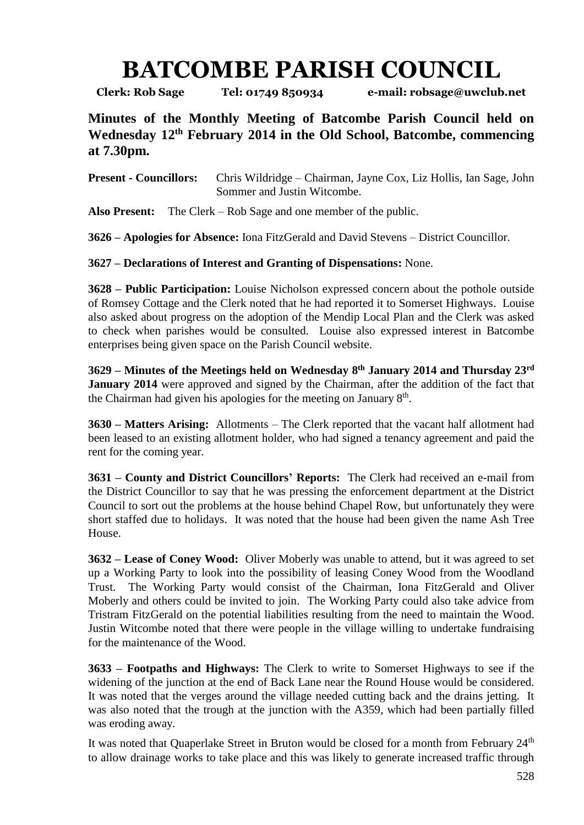## **BATCOMBE PARISH COUNCIL**

**Clerk: Rob Sage Tel: 01749 850934 e-mail: robsage@uwclub.net**

**Minutes of the Monthly Meeting of Batcombe Parish Council held on Wednesday 12th February 2014 in the Old School, Batcombe, commencing at 7.30pm.**

**Present - Councillors:** Chris Wildridge – Chairman, Jayne Cox, Liz Hollis, Ian Sage, John Sommer and Justin Witcombe.

**Also Present:** The Clerk – Rob Sage and one member of the public.

**3626 – Apologies for Absence:** Iona FitzGerald and David Stevens – District Councillor.

**3627 – Declarations of Interest and Granting of Dispensations:** None.

**3628 – Public Participation:** Louise Nicholson expressed concern about the pothole outside of Romsey Cottage and the Clerk noted that he had reported it to Somerset Highways. Louise also asked about progress on the adoption of the Mendip Local Plan and the Clerk was asked to check when parishes would be consulted. Louise also expressed interest in Batcombe enterprises being given space on the Parish Council website.

**3629 – Minutes of the Meetings held on Wednesday 8 th January 2014 and Thursday 23 rd January 2014** were approved and signed by the Chairman, after the addition of the fact that the Chairman had given his apologies for the meeting on January  $8<sup>th</sup>$ .

**3630 – Matters Arising:** Allotments – The Clerk reported that the vacant half allotment had been leased to an existing allotment holder, who had signed a tenancy agreement and paid the rent for the coming year.

**3631 – County and District Councillors' Reports:** The Clerk had received an e-mail from the District Councillor to say that he was pressing the enforcement department at the District Council to sort out the problems at the house behind Chapel Row, but unfortunately they were short staffed due to holidays. It was noted that the house had been given the name Ash Tree House.

**3632 – Lease of Coney Wood:** Oliver Moberly was unable to attend, but it was agreed to set up a Working Party to look into the possibility of leasing Coney Wood from the Woodland Trust. The Working Party would consist of the Chairman, Iona FitzGerald and Oliver Moberly and others could be invited to join. The Working Party could also take advice from Tristram FitzGerald on the potential liabilities resulting from the need to maintain the Wood. Justin Witcombe noted that there were people in the village willing to undertake fundraising for the maintenance of the Wood.

**3633 – Footpaths and Highways:** The Clerk to write to Somerset Highways to see if the widening of the junction at the end of Back Lane near the Round House would be considered. It was noted that the verges around the village needed cutting back and the drains jetting. It was also noted that the trough at the junction with the A359, which had been partially filled was eroding away.

It was noted that Quaperlake Street in Bruton would be closed for a month from February 24<sup>th</sup> to allow drainage works to take place and this was likely to generate increased traffic through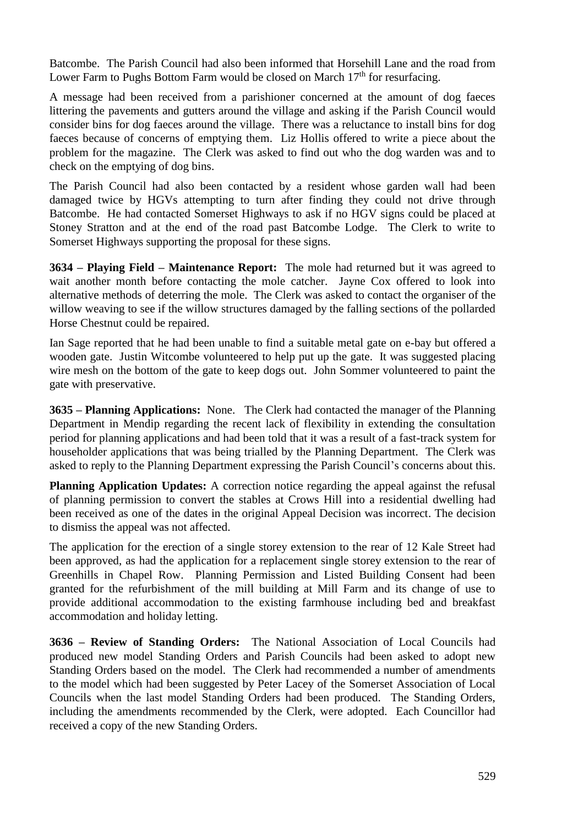Batcombe. The Parish Council had also been informed that Horsehill Lane and the road from Lower Farm to Pughs Bottom Farm would be closed on March  $17<sup>th</sup>$  for resurfacing.

A message had been received from a parishioner concerned at the amount of dog faeces littering the pavements and gutters around the village and asking if the Parish Council would consider bins for dog faeces around the village. There was a reluctance to install bins for dog faeces because of concerns of emptying them. Liz Hollis offered to write a piece about the problem for the magazine. The Clerk was asked to find out who the dog warden was and to check on the emptying of dog bins.

The Parish Council had also been contacted by a resident whose garden wall had been damaged twice by HGVs attempting to turn after finding they could not drive through Batcombe. He had contacted Somerset Highways to ask if no HGV signs could be placed at Stoney Stratton and at the end of the road past Batcombe Lodge. The Clerk to write to Somerset Highways supporting the proposal for these signs.

**3634 – Playing Field – Maintenance Report:** The mole had returned but it was agreed to wait another month before contacting the mole catcher. Jayne Cox offered to look into alternative methods of deterring the mole. The Clerk was asked to contact the organiser of the willow weaving to see if the willow structures damaged by the falling sections of the pollarded Horse Chestnut could be repaired.

Ian Sage reported that he had been unable to find a suitable metal gate on e-bay but offered a wooden gate. Justin Witcombe volunteered to help put up the gate. It was suggested placing wire mesh on the bottom of the gate to keep dogs out. John Sommer volunteered to paint the gate with preservative.

**3635 – Planning Applications:** None. The Clerk had contacted the manager of the Planning Department in Mendip regarding the recent lack of flexibility in extending the consultation period for planning applications and had been told that it was a result of a fast-track system for householder applications that was being trialled by the Planning Department. The Clerk was asked to reply to the Planning Department expressing the Parish Council's concerns about this.

**Planning Application Updates:** A correction notice regarding the appeal against the refusal of planning permission to convert the stables at Crows Hill into a residential dwelling had been received as one of the dates in the original Appeal Decision was incorrect. The decision to dismiss the appeal was not affected.

The application for the erection of a single storey extension to the rear of 12 Kale Street had been approved, as had the application for a replacement single storey extension to the rear of Greenhills in Chapel Row. Planning Permission and Listed Building Consent had been granted for the refurbishment of the mill building at Mill Farm and its change of use to provide additional accommodation to the existing farmhouse including bed and breakfast accommodation and holiday letting.

**3636 – Review of Standing Orders:** The National Association of Local Councils had produced new model Standing Orders and Parish Councils had been asked to adopt new Standing Orders based on the model. The Clerk had recommended a number of amendments to the model which had been suggested by Peter Lacey of the Somerset Association of Local Councils when the last model Standing Orders had been produced. The Standing Orders, including the amendments recommended by the Clerk, were adopted. Each Councillor had received a copy of the new Standing Orders.